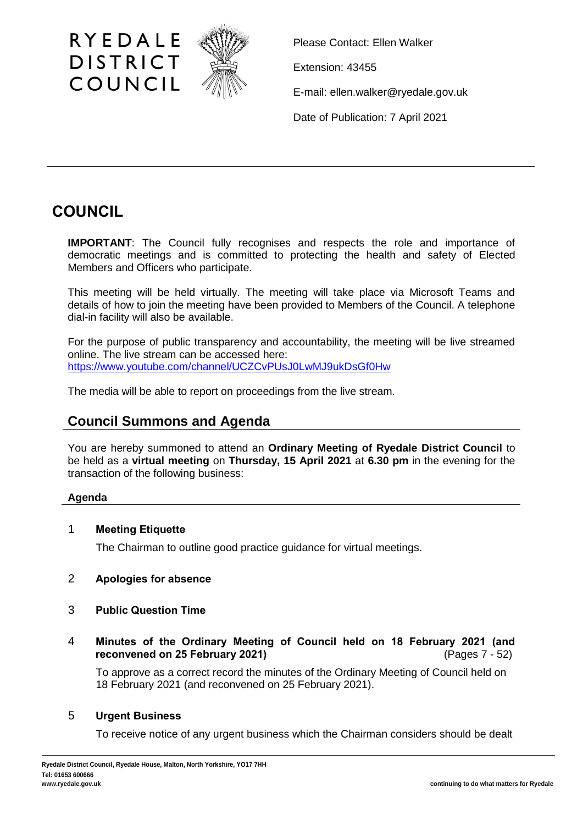

Please Contact: Ellen Walker

Extension: 43455

E-mail: ellen.walker@ryedale.gov.uk

Date of Publication: 7 April 2021

# **COUNCIL**

**IMPORTANT**: The Council fully recognises and respects the role and importance of democratic meetings and is committed to protecting the health and safety of Elected Members and Officers who participate.

This meeting will be held virtually. The meeting will take place via Microsoft Teams and details of how to join the meeting have been provided to Members of the Council. A telephone dial-in facility will also be available.

For the purpose of public transparency and accountability, the meeting will be live streamed online. The live stream can be accessed here: <https://www.youtube.com/channel/UCZCvPUsJ0LwMJ9ukDsGf0Hw>

The media will be able to report on proceedings from the live stream.

# **Council Summons and Agenda**

You are hereby summoned to attend an **Ordinary Meeting of Ryedale District Council** to be held as a **virtual meeting** on **Thursday, 15 April 2021** at **6.30 pm** in the evening for the transaction of the following business:

# **Agenda**

# 1 **Meeting Etiquette**

The Chairman to outline good practice guidance for virtual meetings.

- 2 **Apologies for absence**
- 3 **Public Question Time**
- 4 **Minutes of the Ordinary Meeting of Council held on 18 February 2021 (and reconvened on 25 February 2021)** (Pages 7 - 52)

To approve as a correct record the minutes of the Ordinary Meeting of Council held on 18 February 2021 (and reconvened on 25 February 2021).

# 5 **Urgent Business**

To receive notice of any urgent business which the Chairman considers should be dealt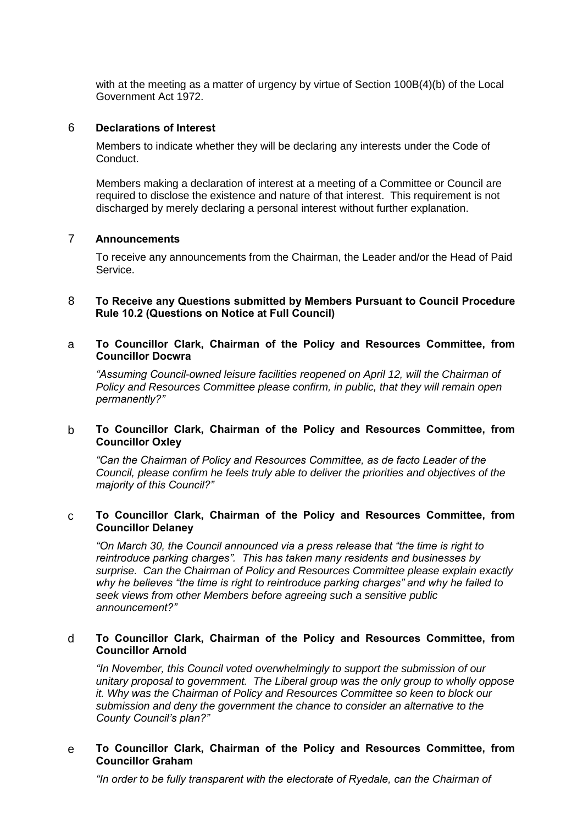with at the meeting as a matter of urgency by virtue of Section 100B(4)(b) of the Local Government Act 1972.

#### 6 **Declarations of Interest**

Members to indicate whether they will be declaring any interests under the Code of Conduct.

Members making a declaration of interest at a meeting of a Committee or Council are required to disclose the existence and nature of that interest. This requirement is not discharged by merely declaring a personal interest without further explanation.

#### 7 **Announcements**

To receive any announcements from the Chairman, the Leader and/or the Head of Paid Service.

#### 8 **To Receive any Questions submitted by Members Pursuant to Council Procedure Rule 10.2 (Questions on Notice at Full Council)**

a **To Councillor Clark, Chairman of the Policy and Resources Committee, from Councillor Docwra**

*"Assuming Council-owned leisure facilities reopened on April 12, will the Chairman of Policy and Resources Committee please confirm, in public, that they will remain open permanently?"*

#### b **To Councillor Clark, Chairman of the Policy and Resources Committee, from Councillor Oxley**

*"Can the Chairman of Policy and Resources Committee, as de facto Leader of the Council, please confirm he feels truly able to deliver the priorities and objectives of the majority of this Council?"*

#### c **To Councillor Clark, Chairman of the Policy and Resources Committee, from Councillor Delaney**

*"On March 30, the Council announced via a press release that "the time is right to reintroduce parking charges". This has taken many residents and businesses by surprise. Can the Chairman of Policy and Resources Committee please explain exactly why he believes "the time is right to reintroduce parking charges" and why he failed to seek views from other Members before agreeing such a sensitive public announcement?"*

#### d **To Councillor Clark, Chairman of the Policy and Resources Committee, from Councillor Arnold**

*"In November, this Council voted overwhelmingly to support the submission of our unitary proposal to government. The Liberal group was the only group to wholly oppose it. Why was the Chairman of Policy and Resources Committee so keen to block our submission and deny the government the chance to consider an alternative to the County Council's plan?"*

#### e **To Councillor Clark, Chairman of the Policy and Resources Committee, from Councillor Graham**

*"In order to be fully transparent with the electorate of Ryedale, can the Chairman of*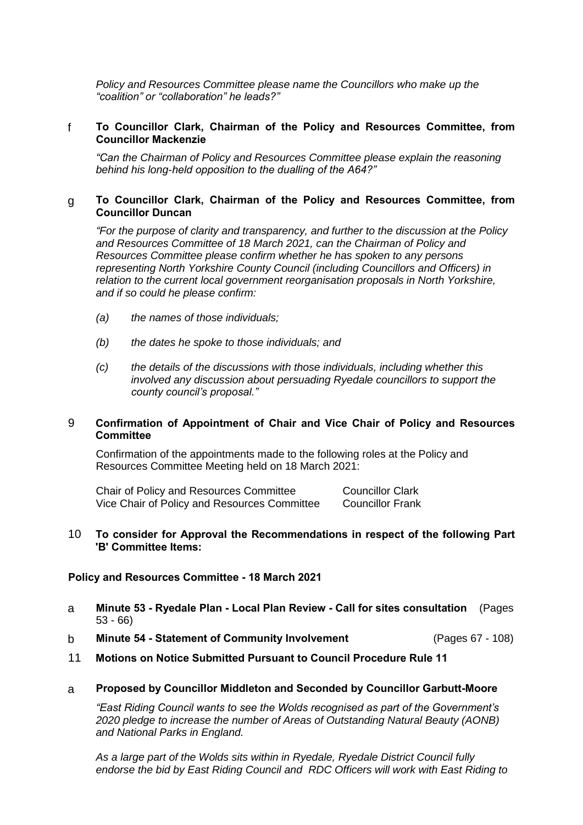*Policy and Resources Committee please name the Councillors who make up the "coalition" or "collaboration" he leads?"*

#### f **To Councillor Clark, Chairman of the Policy and Resources Committee, from Councillor Mackenzie**

*"Can the Chairman of Policy and Resources Committee please explain the reasoning behind his long-held opposition to the dualling of the A64?"*

#### g **To Councillor Clark, Chairman of the Policy and Resources Committee, from Councillor Duncan**

*"For the purpose of clarity and transparency, and further to the discussion at the Policy and Resources Committee of 18 March 2021, can the Chairman of Policy and Resources Committee please confirm whether he has spoken to any persons representing North Yorkshire County Council (including Councillors and Officers) in relation to the current local government reorganisation proposals in North Yorkshire, and if so could he please confirm:*

- *(a) the names of those individuals;*
- *(b) the dates he spoke to those individuals; and*
- *(c) the details of the discussions with those individuals, including whether this involved any discussion about persuading Ryedale councillors to support the county council's proposal."*

#### 9 **Confirmation of Appointment of Chair and Vice Chair of Policy and Resources Committee**

Confirmation of the appointments made to the following roles at the Policy and Resources Committee Meeting held on 18 March 2021:

Chair of Policy and Resources Committee Councillor Clark Vice Chair of Policy and Resources Committee Councillor Frank

#### 10 **To consider for Approval the Recommendations in respect of the following Part 'B' Committee Items:**

#### **Policy and Resources Committee - 18 March 2021**

- a **Minute 53 - Ryedale Plan - Local Plan Review - Call for sites consultation** (Pages 53 - 66)
- b **Minute 54 - Statement of Community Involvement** (Pages 67 108)
- 11 **Motions on Notice Submitted Pursuant to Council Procedure Rule 11**
- a **Proposed by Councillor Middleton and Seconded by Councillor Garbutt-Moore**

*"East Riding Council wants to see the Wolds recognised as part of the Government's 2020 pledge to increase the number of Areas of Outstanding Natural Beauty (AONB) and National Parks in England.* 

*As a large part of the Wolds sits within in Ryedale, Ryedale District Council fully endorse the bid by East Riding Council and RDC Officers will work with East Riding to*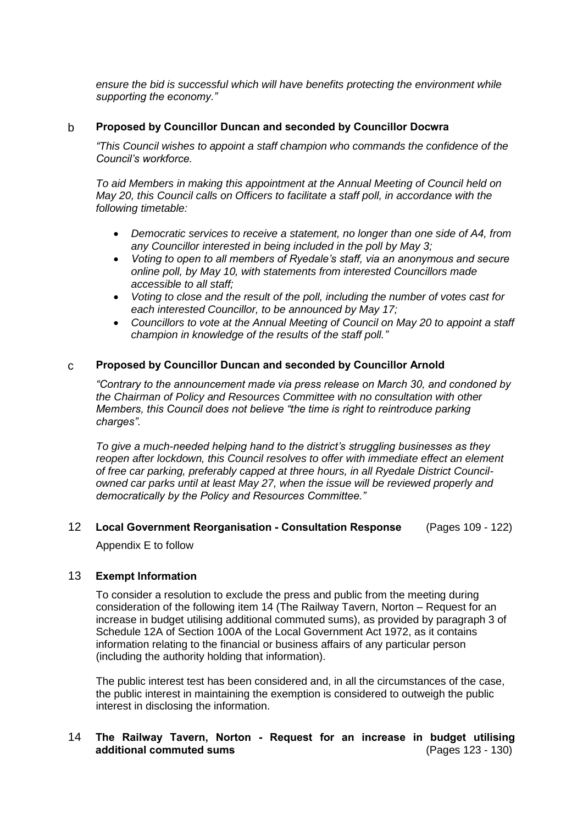*ensure the bid is successful which will have benefits protecting the environment while supporting the economy."*

#### b **Proposed by Councillor Duncan and seconded by Councillor Docwra**

*"This Council wishes to appoint a staff champion who commands the confidence of the Council's workforce.*

*To aid Members in making this appointment at the Annual Meeting of Council held on May 20, this Council calls on Officers to facilitate a staff poll, in accordance with the following timetable:*

- *Democratic services to receive a statement, no longer than one side of A4, from any Councillor interested in being included in the poll by May 3;*
- *Voting to open to all members of Ryedale's staff, via an anonymous and secure online poll, by May 10, with statements from interested Councillors made accessible to all staff;*
- *Voting to close and the result of the poll, including the number of votes cast for each interested Councillor, to be announced by May 17;*
- *Councillors to vote at the Annual Meeting of Council on May 20 to appoint a staff champion in knowledge of the results of the staff poll."*

#### c **Proposed by Councillor Duncan and seconded by Councillor Arnold**

*"Contrary to the announcement made via press release on March 30, and condoned by the Chairman of Policy and Resources Committee with no consultation with other Members, this Council does not believe "the time is right to reintroduce parking charges".*

*To give a much-needed helping hand to the district's struggling businesses as they reopen after lockdown, this Council resolves to offer with immediate effect an element of free car parking, preferably capped at three hours, in all Ryedale District Councilowned car parks until at least May 27, when the issue will be reviewed properly and democratically by the Policy and Resources Committee."*

# 12 **Local Government Reorganisation - Consultation Response** (Pages 109 - 122) Appendix E to follow

#### 13 **Exempt Information**

To consider a resolution to exclude the press and public from the meeting during consideration of the following item 14 (The Railway Tavern, Norton – Request for an increase in budget utilising additional commuted sums), as provided by paragraph 3 of Schedule 12A of Section 100A of the Local Government Act 1972, as it contains information relating to the financial or business affairs of any particular person (including the authority holding that information).

The public interest test has been considered and, in all the circumstances of the case, the public interest in maintaining the exemption is considered to outweigh the public interest in disclosing the information.

# 14 **The Railway Tavern, Norton - Request for an increase in budget utilising additional commuted sums** (Pages 123 - 130)